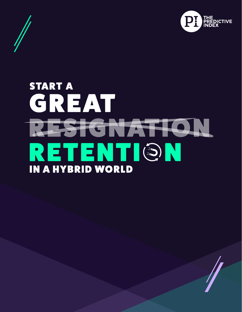

# **START A** GREAT RESIGNATION RETENTION **IN A HYBRID WORLD**

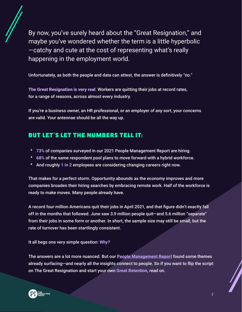By now, you've surely heard about the "Great Resignation," and maybe you've wondered whether the term is a little hyperbolic —catchy and cute at the cost of representing what's really happening in the employment world.

Unfortunately, as both the people and data can attest, the answer is definitively "no."

The Great Resignation is very real. Workers are quitting their jobs at record rates, for a range of reasons, across almost every industry.

If you're a business owner, an HR professional, or an employer of any sort, your concerns are valid. Your antennae should be all the way up.

#### BUT LET'S LET THE NUMBERS TELL IT:

- **73%** of companies surveyed in our 2021 People Management Report are hiring.
- **68%** of the same respondent pool plans to move forward with a hybrid workforce.
- And roughly **1 in 2** employees are considering changing careers right now.

That makes for a perfect storm. Opportunity abounds as the economy improves and more companies broaden their hiring searches by embracing remote work. Half of the workforce is ready to make moves. Many people already have.

A record four million Americans quit their jobs in April 2021, and that figure didn't exactly fall off in the months that followed. June saw 3.9 million people quit—and 5.6 million "separate" from their jobs in some form or another. In short, the sample size may still be small, but the rate of turnover has been startlingly consistent.

It all begs one very simple question: *Why?* 

The answers are a lot more nuanced. But our **[People Management Report](https://www.predictiveindex.com/learn/inspire/resources/surveys-reports/people-management-report/)** found some themes already surfacing—and nearly all the insights connect to people. So if you want to flip the script on The Great Resignation and start your own **Great Retention**, read on**.**

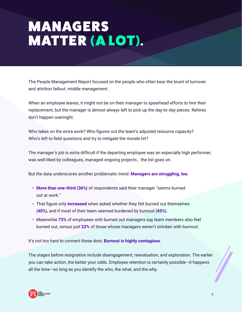# **MANAGERS** MATTER (A LOT).

The People Management Report focused on the people who often bear the brunt of turnover and attrition fallout: middle management.

When an employee leaves, it might not be on their manager to spearhead efforts to hire their replacement, but the manager is almost always left to pick up the day-to-day pieces. Rehires don't happen overnight.

Who takes on the extra work? Who figures out the team's adjusted resource capacity? Who's left to field questions and try to mitigate the morale hit?

The manager's job is extra difficult if the departing employee was an especially high performer, was well-liked by colleagues, managed ongoing projects… the list goes on.

But the data underscores another problematic trend: **Managers are struggling, too**.

- **• More than one-third (36%)** of respondents said their manager "seems burned out at work."
- That figure only **increased** when asked whether they felt burned out themselves (**40%**), and if most of their team seemed burdened by burnout (**45%**).
- Meanwhile **73%** of employees with burned out managers say team members also feel burned out, versus just **22%** of those whose managers weren't stricken with burnout.

It's not too hard to connect these dots: **Burnout is highly contagious**.

The stages before resignation include disengagement, reevaluation, and exploration. The earlier you can take action, the better your odds. Employee retention is certainly possible—it happens all the time—so long as you identify the who, the what, and the why.

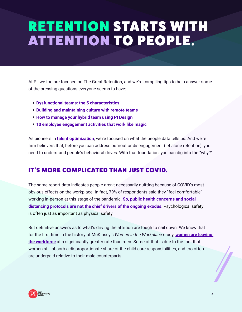## RETENTION STARTS WITH ATTENTION TO PEOPLE.

At PI, we too are focused on The Great Retention, and we're compiling tips to help answer some of the pressing questions everyone seems to have:

- **[Dysfunctional teams: the 5 characteristics](https://www.predictiveindex.com/blog/dysfunctional-teams-the-5-characteristics/)**
- **[Building and maintaining culture with remote teams](https://www.predictiveindex.com/blog/building-and-maintaining-culture-in-remote-teams-the-predictive-index/)**
- **[How to manage your hybrid team using PI Design](https://www.predictiveindex.com/blog/how-to-manage-your-hybrid-team-using-pi-design/)**
- **[10 employee engagement activities that work like magic](https://www.predictiveindex.com/blog/10-employee-engagement-activities-work-magic/)**

As pioneers in **[talent optimization](https://www.predictiveindex.com/software/)**, we're focused on what the people data tells us. And we're firm believers that, before you can address burnout or disengagement (let alone retention), you need to understand people's behavioral drives. With that foundation, you can dig into the "why?"

#### IT'S MORE COMPLICATED THAN JUST COVID.

The same report data indicates people aren't necessarily quitting because of COVID's most obvious effects on the workplace. In fact, 79% of respondents said they "feel comfortable" working in-person at this stage of the pandemic. **So, public health concerns and social distancing protocols are not the chief drivers of the ongoing exodus**. Psychological safety is often just as important as physical safety.

But definitive answers as to what's driving the attrition are tough to nail down. We know that for the first time in the history of McKinsey's *Women in the Workplace* study, **[women are leaving](https://www.mckinsey.com/featured-insights/diversity-and-inclusion/seven-charts-that-show-covid-19s-impact-on-womens-employment)  [the workforce](https://www.mckinsey.com/featured-insights/diversity-and-inclusion/seven-charts-that-show-covid-19s-impact-on-womens-employment)** at a significantly greater rate than men. Some of that is due to the fact that women still absorb a disproportionate share of the child care responsibilities, and too often are underpaid relative to their male counterparts.

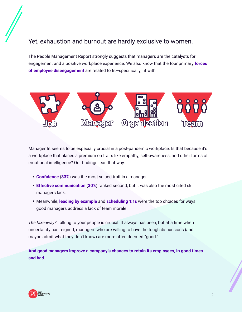#### Yet, exhaustion and burnout are hardly exclusive to women.

The People Management Report strongly suggests that managers are the catalysts for engagement and a positive workplace experience. We also know that the four primary **[forces](https://www.predictiveindex.com/learn/diagnose/resources/ebooks/solving-employee-disengagement/#:~:text=These%20boil%20down%20to%20the,company%20culture%20and%20senior%20leadership).)  [of employee disengagement](https://www.predictiveindex.com/learn/diagnose/resources/ebooks/solving-employee-disengagement/#:~:text=These%20boil%20down%20to%20the,company%20culture%20and%20senior%20leadership).)** are related to fit—specifically, fit with:



Manager fit seems to be especially crucial in a post-pandemic workplace. Is that because it's a workplace that places a premium on traits like empathy, self-awareness, and other forms of emotional intelligence? Our findings lean that way:

- **Confidence** (**33%**) was the most valued trait in a manager.
- **Effective communication** (**30%**) ranked second; but it was also the most cited skill managers lack.
- Meanwhile, **leading by example** and **scheduling 1:1s** were the top choices for ways good managers address a lack of team morale.

*The takeaway?* Talking to your people is crucial. It always has been, but at a time when uncertainty has reigned, managers who are willing to have the tough discussions (and maybe admit what they don't know) are more often deemed "good."

**And good managers improve a company's chances to retain its employees, in good times and bad.**

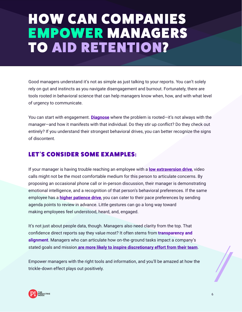### HOW CAN COMPANIES EMPOWER MANAGERS TO AID RETENTION?

Good managers understand it's not as simple as just talking to your reports. You can't solely rely on gut and instincts as you navigate disengagement and burnout. Fortunately, there are tools rooted in behavioral science that can help managers know when, how, and with what level of urgency to communicate.

You can start with engagement. **[Diagnose](https://www.predictiveindex.com/software/diagnose-engagement/)** where the problem is rooted—it's not always with the manager—and how it manifests with that individual. Do they stir up conflict? Do they check out entirely? If you understand their strongest behavioral drives, you can better recognize the signs of discontent.

#### LET'S CONSIDER SOME EXAMPLES:

If your manager is having trouble reaching an employee with a **[low extraversion drive](https://www.predictiveindex.com/blog/the-extraversion-drive-deconstructed/)**, video calls might not be the most comfortable medium for this person to articulate concerns. By proposing an occasional phone call or in-person discussion, their manager is demonstrating emotional intelligence, and a recognition of that person's behavioral preferences. If the same employee has a **[higher patience drive](https://www.predictiveindex.com/blog/the-patience-drive-deconstructed/)**, you can cater to their pace preferences by sending agenda points to review in advance. Little gestures can go a long way toward making employees feel understood, heard, and, engaged.

It's not just about people data, though. Managers also need clarity from the top. That confidence direct reports say they value most? It often stems from **transparency and alignment**. Managers who can articulate how on-the-ground tasks impact a company's stated goals and mission **[are more likely to inspire discretionary effort from their team](https://www.predictiveindex.com/blog/discretionary-effort/)**.

Empower managers with the right tools and information, and you'll be amazed at how the trickle-down effect plays out positively.

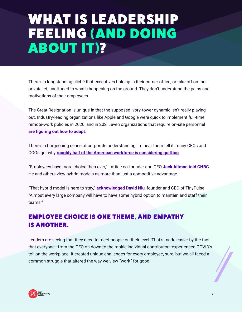### WHAT IS LEADERSHIP FEELING (AND DOING ABOUT IT)?

There's a longstanding cliché that executives hole up in their corner office, or take off on their private jet, unattuned to what's happening on the ground. They don't understand the pains and motivations of their employees.

The Great Resignation is unique in that the supposed ivory-tower dynamic isn't really playing out. Industry-leading organizations like Apple and Google were quick to implement full-time remote-work policies in 2020, and in 2021, even organizations that require on-site personnel **[are figuring out how to adapt](https://www.cnbc.com/2021/01/11/flexjobs-top-companies-hiring-for-work-from-home-jobs-2021.html)**.

There's a burgeoning sense of corporate understanding. To hear them tell it, many CEOs and COOs get why **[roughly half of the American workforce is considering quitting](https://www.cnbc.com/2021/08/25/great-resignation-55-percent-are-looking-to-change-jobs-over-the-next-year-.html)**.

"Employees have more choice than ever," Lattice co-founder and CEO **[Jack Altman told CNBC](https://www.cnbc.com/video/2021/08/23/the-great-resignation-employees-have-more-choice-than-ever.html)**. He and others view hybrid models as more than just a competitive advantage.

"That hybrid model is here to stay," **[acknowledged David Niu](https://www.cnbc.com/2021/07/13/employers-dont-think-many-workers-will-quit-great-resignation.html)**, founder and CEO of TinyPulse. "Almost every large company will have to have some hybrid option to maintain and staff their teams."

#### EMPLOYEE CHOICE IS ONE THEME, AND EMPATHY **IS ANOTHER.**

Leaders are seeing that they need to meet people on their level. That's made easier by the fact that everyone—from the CEO on down to the rookie individual contributor—experienced COVID's toll on the workplace. It created unique challenges for every employee, sure, but we all faced a common struggle that altered the way we view "work" for good.

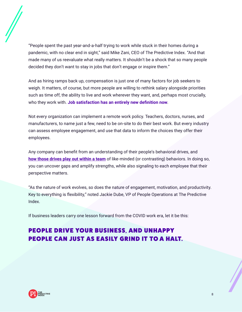

"People spent the past year-and-a-half trying to work while stuck in their homes during a pandemic, with no clear end in sight," said Mike Zani, CEO of The Predictive Index. "And that made many of us reevaluate what really matters. It shouldn't be a shock that so many people decided they don't want to stay in jobs that don't engage or inspire them."

And as hiring ramps back up, compensation is just one of many factors for job seekers to weigh. It matters, of course, but more people are willing to rethink salary alongside priorities such as time off, the ability to live and work wherever they want, and, perhaps most crucially, who they work with. **Job satisfaction has an entirely new definition now**.

Not every organization can implement a remote work policy. Teachers, doctors, nurses, and manufacturers, to name just a few, need to be on-site to do their best work. But every industry can assess employee engagement, and use that data to inform the choices they offer their employees.

Any company can benefit from an understanding of their people's behavioral drives, and **[how those drives play out within a team](https://www.predictiveindex.com/team-types/)** of like-minded (or contrasting) behaviors. In doing so, you can uncover gaps and amplify strengths, while also signaling to each employee that their perspective matters.

"As the nature of work evolves, so does the nature of engagement, motivation, and productivity. Key to everything is flexibility," noted Jackie Dube, VP of People Operations at The Predictive Index.

If business leaders carry one lesson forward from the COVID work era, let it be this:

#### PEOPLE DRIVE YOUR BUSINESS, AND UNHAPPY PEOPLE CAN JUST AS EASILY GRIND IT TO A HALT.

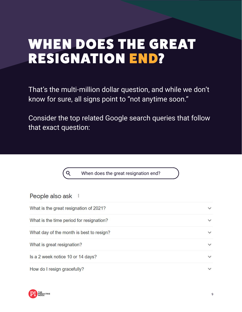### WHEN DOES THE GREAT **RESIGNATION END?**

That's the multi-million dollar question, and while we don't know for sure, all signs point to "not anytime soon."

Consider the top related Google search queries that follow that exact question:

When does the great resignation end?

 $Q$ 

| People also ask :                        |              |
|------------------------------------------|--------------|
| What is the great resignation of 2021?   | $\checkmark$ |
| What is the time period for resignation? | $\checkmark$ |
| What day of the month is best to resign? | $\checkmark$ |
| What is great resignation?               | $\checkmark$ |
| Is a 2 week notice 10 or 14 days?        | $\checkmark$ |
| How do I resign gracefully?              |              |